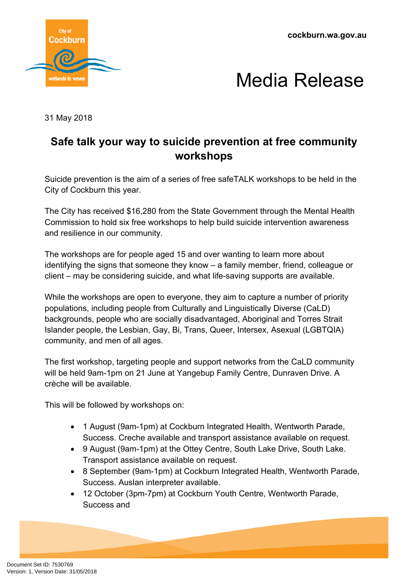**cockburn.wa.gov.au**





31 May 2018

## **Safe talk your way to suicide prevention at free community workshops**

Suicide prevention is the aim of a series of free safeTALK workshops to be held in the City of Cockburn this year.

The City has received \$16,280 from the State Government through the Mental Health Commission to hold six free workshops to help build suicide intervention awareness and resilience in our community.

The workshops are for people aged 15 and over wanting to learn more about identifying the signs that someone they know – a family member, friend, colleague or client – may be considering suicide, and what life-saving supports are available.

While the workshops are open to everyone, they aim to capture a number of priority populations, including people from Culturally and Linguistically Diverse (CaLD) backgrounds, people who are socially disadvantaged, Aboriginal and Torres Strait Islander people, the Lesbian, Gay, Bi, Trans, Queer, Intersex, Asexual (LGBTQIA) community, and men of all ages.

The first workshop, targeting people and support networks from the CaLD community will be held 9am-1pm on 21 June at Yangebup Family Centre, Dunraven Drive. A crèche will be available.

This will be followed by workshops on:

- 1 August (9am-1pm) at Cockburn Integrated Health, Wentworth Parade, Success. Creche available and transport assistance available on request.
- 9 August (9am-1pm) at the Ottey Centre, South Lake Drive, South Lake. Transport assistance available on request.
- 8 September (9am-1pm) at Cockburn Integrated Health, Wentworth Parade, Success. Auslan interpreter available.
- 12 October (3pm-7pm) at Cockburn Youth Centre, Wentworth Parade, Success and